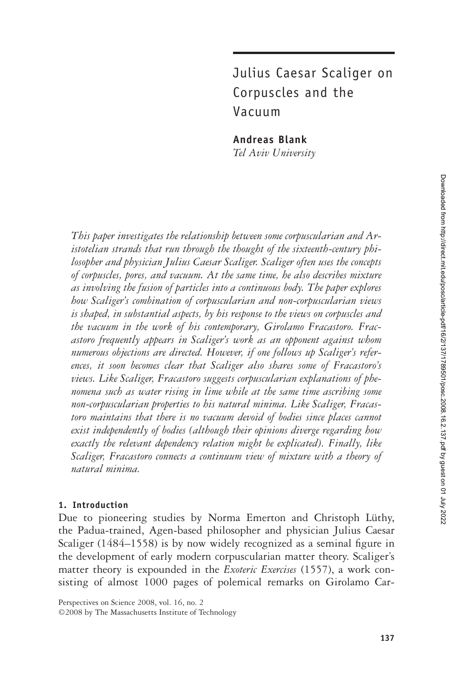# Julius Caesar Scaliger on Corpuscles and the Vacuum

**Andreas Blank** *Tel Aviv University*

*This paper investigates the relationship between some corpuscularian and Aristotelian strands that run through the thought of the sixteenth-century philosopher and physician Julius Caesar Scaliger. Scaliger often uses the concepts of corpuscles, pores, and vacuum. At the same time, he also describes mixture as involving the fusion of particles into a continuous body. The paper explores how Scaliger's combination of corpuscularian and non-corpuscularian views is shaped, in substantial aspects, by his response to the views on corpuscles and the vacuum in the work of his contemporary, Girolamo Fracastoro. Fracastoro frequently appears in Scaliger's work as an opponent against whom numerous objections are directed. However, if one follows up Scaliger's references, it soon becomes clear that Scaliger also shares some of Fracastoro's views. Like Scaliger, Fracastoro suggests corpuscularian explanations of phenomena such as water rising in lime while at the same time ascribing some non-corpuscularian properties to his natural minima. Like Scaliger, Fracastoro maintains that there is no vacuum devoid of bodies since places cannot exist independently of bodies (although their opinions diverge regarding how exactly the relevant dependency relation might be explicated). Finally, like Scaliger, Fracastoro connects a continuum view of mixture with a theory of natural minima.*

### **1. Introduction**

Due to pioneering studies by Norma Emerton and Christoph Lüthy, the Padua-trained, Agen-based philosopher and physician Julius Caesar Scaliger  $(1484-1558)$  is by now widely recognized as a seminal figure in the development of early modern corpuscularian matter theory. Scaliger's matter theory is expounded in the *Exoteric Exercises* (1557), a work consisting of almost 1000 pages of polemical remarks on Girolamo Car-

Perspectives on Science 2008, vol. 16, no. 2

©2008 by The Massachusetts Institute of Technology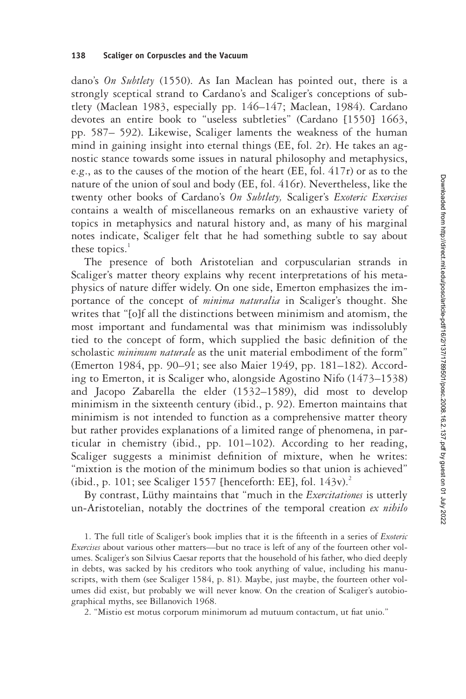dano's *On Subtlety* (1550). As Ian Maclean has pointed out, there is a strongly sceptical strand to Cardano's and Scaliger's conceptions of subtlety (Maclean 1983, especially pp. 146–147; Maclean, 1984). Cardano devotes an entire book to "useless subtleties" (Cardano [1550] 1663, pp. 587– 592). Likewise, Scaliger laments the weakness of the human mind in gaining insight into eternal things (EE, fol. 2r). He takes an agnostic stance towards some issues in natural philosophy and metaphysics, e.g., as to the causes of the motion of the heart (EE, fol. 417r) or as to the nature of the union of soul and body (EE, fol. 416r). Nevertheless, like the twenty other books of Cardano's *On Subtlety,* Scaliger's *Exoteric Exercises* contains a wealth of miscellaneous remarks on an exhaustive variety of topics in metaphysics and natural history and, as many of his marginal notes indicate, Scaliger felt that he had something subtle to say about these topics. $<sup>1</sup>$ </sup>

The presence of both Aristotelian and corpuscularian strands in Scaliger's matter theory explains why recent interpretations of his metaphysics of nature differ widely. On one side, Emerton emphasizes the importance of the concept of *minima naturalia* in Scaliger's thought. She writes that "[o]f all the distinctions between minimism and atomism, the most important and fundamental was that minimism was indissolubly tied to the concept of form, which supplied the basic definition of the scholastic *minimum naturale* as the unit material embodiment of the form" (Emerton 1984, pp. 90–91; see also Maier 1949, pp. 181–182). According to Emerton, it is Scaliger who, alongside Agostino Nifo (1473–1538) and Jacopo Zabarella the elder (1532–1589), did most to develop minimism in the sixteenth century (ibid., p. 92). Emerton maintains that minimism is not intended to function as a comprehensive matter theory but rather provides explanations of a limited range of phenomena, in particular in chemistry (ibid., pp. 101–102). According to her reading, Scaliger suggests a minimist definition of mixture, when he writes: "mixtion is the motion of the minimum bodies so that union is achieved" (ibid., p. 101; see Scaliger 1557 [henceforth: EE], fol.  $143v$ .<sup>2</sup>

By contrast, Lüthy maintains that "much in the *Exercitationes* is utterly un-Aristotelian, notably the doctrines of the temporal creation *ex nihilo*

1. The full title of Scaliger's book implies that it is the fifteenth in a series of *Exoteric Exercises* about various other matters—but no trace is left of any of the fourteen other volumes. Scaliger's son Silvius Caesar reports that the household of his father, who died deeply in debts, was sacked by his creditors who took anything of value, including his manuscripts, with them (see Scaliger 1584, p. 81). Maybe, just maybe, the fourteen other volumes did exist, but probably we will never know. On the creation of Scaliger's autobiographical myths, see Billanovich 1968.

2. "Mistio est motus corporum minimorum ad mutuum contactum, ut fiat unio."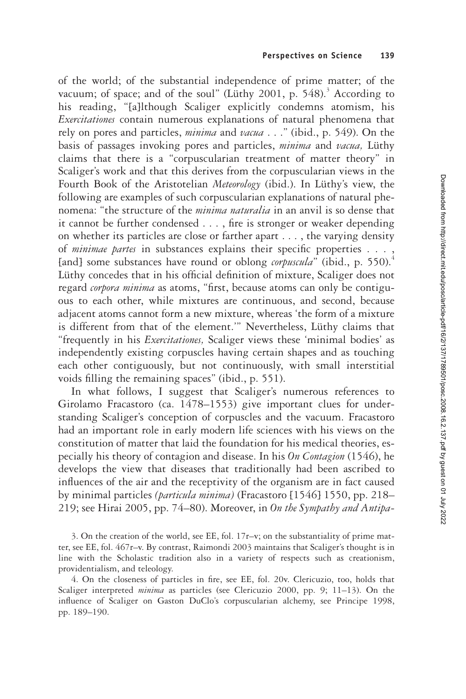of the world; of the substantial independence of prime matter; of the vacuum; of space; and of the soul" (Lüthy 2001, p. 548).<sup>3</sup> According to his reading, "[a]lthough Scaliger explicitly condemns atomism, his *Exercitationes* contain numerous explanations of natural phenomena that rely on pores and particles, *minima* and *vacua* . . ." (ibid., p. 549). On the basis of passages invoking pores and particles, *minima* and *vacua,* Lüthy claims that there is a "corpuscularian treatment of matter theory" in Scaliger's work and that this derives from the corpuscularian views in the Fourth Book of the Aristotelian *Meteorology* (ibid.). In Lüthy's view, the following are examples of such corpuscularian explanations of natural phenomena: "the structure of the *minima naturalia* in an anvil is so dense that it cannot be further condensed  $\dots$ , fire is stronger or weaker depending on whether its particles are close or farther apart . . . , the varying density of *minimae partes* in substances explains their specific properties . . . , [and] some substances have round or oblong *corpuscula*" (ibid., p. 550).<sup>4</sup> Lüthy concedes that in his official definition of mixture, Scaliger does not regard *corpora minima* as atoms, "first, because atoms can only be contiguous to each other, while mixtures are continuous, and second, because adjacent atoms cannot form a new mixture, whereas 'the form of a mixture is different from that of the element.'" Nevertheless, Lüthy claims that "frequently in his *Exercitationes,* Scaliger views these 'minimal bodies' as independently existing corpuscles having certain shapes and as touching each other contiguously, but not continuously, with small interstitial voids filling the remaining spaces" (ibid., p. 551).

In what follows, I suggest that Scaliger's numerous references to Girolamo Fracastoro (ca. 1478–1553) give important clues for understanding Scaliger's conception of corpuscles and the vacuum. Fracastoro had an important role in early modern life sciences with his views on the constitution of matter that laid the foundation for his medical theories, especially his theory of contagion and disease. In his *On Contagion* (1546), he develops the view that diseases that traditionally had been ascribed to influences of the air and the receptivity of the organism are in fact caused by minimal particles *(particula minima)* (Fracastoro [1546] 1550, pp. 218– 219; see Hirai 2005, pp. 74–80). Moreover, in *On the Sympathy and Antipa-*

3. On the creation of the world, see EE, fol. 17r–v; on the substantiality of prime matter, see EE, fol. 467r–v. By contrast, Raimondi 2003 maintains that Scaliger's thought is in line with the Scholastic tradition also in a variety of respects such as creationism, providentialism, and teleology.

4. On the closeness of particles in fire, see EE, fol. 20v. Clericuzio, too, holds that Scaliger interpreted *minima* as particles (see Clericuzio 2000, pp. 9; 11–13). On the influence of Scaliger on Gaston DuClo's corpuscularian alchemy, see Principe 1998, pp. 189–190.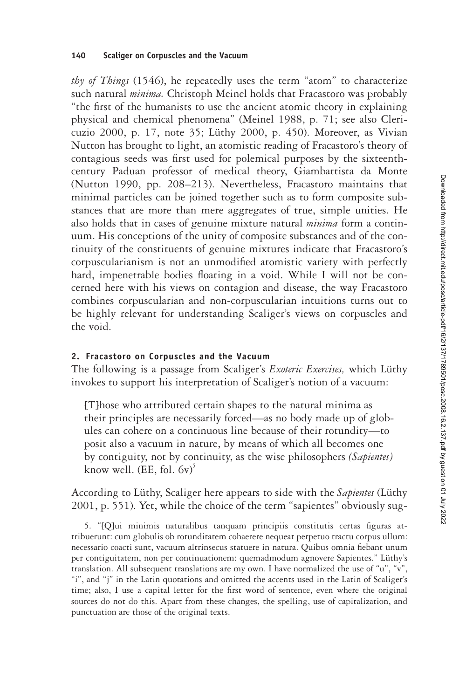*thy of Things* (1546), he repeatedly uses the term "atom" to characterize such natural *minima.* Christoph Meinel holds that Fracastoro was probably "the first of the humanists to use the ancient atomic theory in explaining physical and chemical phenomena" (Meinel 1988, p. 71; see also Clericuzio 2000, p. 17, note 35; Lüthy 2000, p. 450). Moreover, as Vivian Nutton has brought to light, an atomistic reading of Fracastoro's theory of contagious seeds was first used for polemical purposes by the sixteenthcentury Paduan professor of medical theory, Giambattista da Monte (Nutton 1990, pp. 208–213). Nevertheless, Fracastoro maintains that minimal particles can be joined together such as to form composite substances that are more than mere aggregates of true, simple unities. He also holds that in cases of genuine mixture natural *minima* form a continuum. His conceptions of the unity of composite substances and of the continuity of the constituents of genuine mixtures indicate that Fracastoro's corpuscularianism is not an unmodified atomistic variety with perfectly hard, impenetrable bodies floating in a void. While I will not be concerned here with his views on contagion and disease, the way Fracastoro combines corpuscularian and non-corpuscularian intuitions turns out to be highly relevant for understanding Scaliger's views on corpuscles and the void.

# **2. Fracastoro on Corpuscles and the Vacuum**

The following is a passage from Scaliger's *Exoteric Exercises,* which Lüthy invokes to support his interpretation of Scaliger's notion of a vacuum:

[T]hose who attributed certain shapes to the natural minima as their principles are necessarily forced—as no body made up of globules can cohere on a continuous line because of their rotundity—to posit also a vacuum in nature, by means of which all becomes one by contiguity, not by continuity, as the wise philosophers *(Sapientes)* know well. (EE, fol.  $6v$ )<sup>5</sup>

According to Lüthy, Scaliger here appears to side with the *Sapientes* (Lüthy 2001, p. 551). Yet, while the choice of the term "sapientes" obviously sug-

5. "[Q]ui minimis naturalibus tanquam principiis constitutis certas figuras attribuerunt: cum globulis ob rotunditatem cohaerere nequeat perpetuo tractu corpus ullum: necessario coacti sunt, vacuum altrinsecus statuere in natura. Quibus omnia fiebant unum per contiguitatem, non per continuationem: quemadmodum agnovere Sapientes." Lüthy's translation. All subsequent translations are my own. I have normalized the use of "u", "v", "i", and "j" in the Latin quotations and omitted the accents used in the Latin of Scaliger's time; also, I use a capital letter for the first word of sentence, even where the original sources do not do this. Apart from these changes, the spelling, use of capitalization, and punctuation are those of the original texts.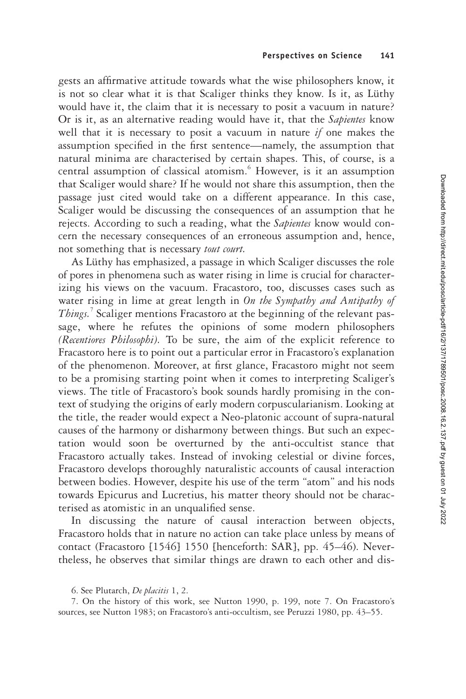gests an affirmative attitude towards what the wise philosophers know, it is not so clear what it is that Scaliger thinks they know. Is it, as Lüthy would have it, the claim that it is necessary to posit a vacuum in nature? Or is it, as an alternative reading would have it, that the *Sapientes* know well that it is necessary to posit a vacuum in nature *if* one makes the assumption specified in the first sentence—namely, the assumption that natural minima are characterised by certain shapes. This, of course, is a central assumption of classical atomism.<sup>6</sup> However, is it an assumption that Scaliger would share? If he would not share this assumption, then the passage just cited would take on a different appearance. In this case, Scaliger would be discussing the consequences of an assumption that he rejects. According to such a reading, what the *Sapientes* know would concern the necessary consequences of an erroneous assumption and, hence, not something that is necessary *tout court.*

As Lüthy has emphasized, a passage in which Scaliger discusses the role of pores in phenomena such as water rising in lime is crucial for characterizing his views on the vacuum. Fracastoro, too, discusses cases such as water rising in lime at great length in *On the Sympathy and Antipathy of Things.*<sup>7</sup> Scaliger mentions Fracastoro at the beginning of the relevant passage, where he refutes the opinions of some modern philosophers *(Recentiores Philosophi).* To be sure, the aim of the explicit reference to Fracastoro here is to point out a particular error in Fracastoro's explanation of the phenomenon. Moreover, at first glance, Fracastoro might not seem to be a promising starting point when it comes to interpreting Scaliger's views. The title of Fracastoro's book sounds hardly promising in the context of studying the origins of early modern corpuscularianism. Looking at the title, the reader would expect a Neo-platonic account of supra-natural causes of the harmony or disharmony between things. But such an expectation would soon be overturned by the anti-occultist stance that Fracastoro actually takes. Instead of invoking celestial or divine forces, Fracastoro develops thoroughly naturalistic accounts of causal interaction between bodies. However, despite his use of the term "atom" and his nods towards Epicurus and Lucretius, his matter theory should not be characterised as atomistic in an unqualified sense.

In discussing the nature of causal interaction between objects, Fracastoro holds that in nature no action can take place unless by means of contact (Fracastoro [1546] 1550 [henceforth: SAR], pp. 45–46). Nevertheless, he observes that similar things are drawn to each other and dis-

7. On the history of this work, see Nutton 1990, p. 199, note 7. On Fracastoro's sources, see Nutton 1983; on Fracastoro's anti-occultism, see Peruzzi 1980, pp. 43–55.

<sup>6.</sup> See Plutarch, *De placitis* 1, 2.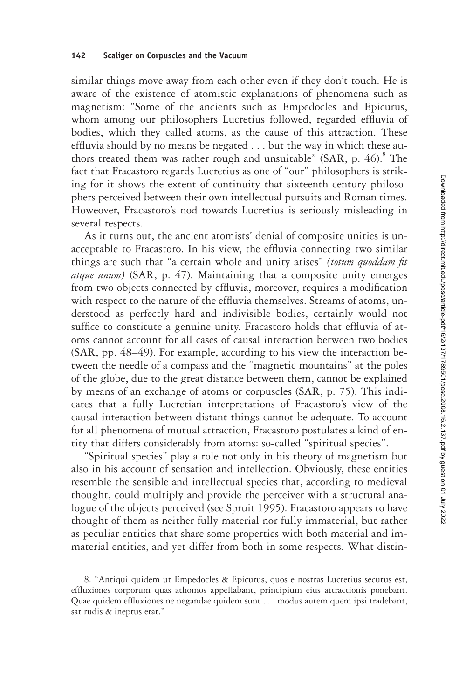similar things move away from each other even if they don't touch. He is aware of the existence of atomistic explanations of phenomena such as magnetism: "Some of the ancients such as Empedocles and Epicurus, whom among our philosophers Lucretius followed, regarded effluvia of bodies, which they called atoms, as the cause of this attraction. These effluvia should by no means be negated  $\ldots$  but the way in which these authors treated them was rather rough and unsuitable" (SAR, p. 46).<sup>8</sup> The fact that Fracastoro regards Lucretius as one of "our" philosophers is striking for it shows the extent of continuity that sixteenth-century philosophers perceived between their own intellectual pursuits and Roman times. Howeover, Fracastoro's nod towards Lucretius is seriously misleading in several respects.

As it turns out, the ancient atomists' denial of composite unities is unacceptable to Fracastoro. In his view, the effluvia connecting two similar things are such that "a certain whole and unity arises" *(totum quoddam fit atque unum)* (SAR, p. 47). Maintaining that a composite unity emerges from two objects connected by effluvia, moreover, requires a modification with respect to the nature of the effluvia themselves. Streams of atoms, understood as perfectly hard and indivisible bodies, certainly would not suffice to constitute a genuine unity. Fracastoro holds that effluvia of atoms cannot account for all cases of causal interaction between two bodies (SAR, pp. 48–49). For example, according to his view the interaction between the needle of a compass and the "magnetic mountains" at the poles of the globe, due to the great distance between them, cannot be explained by means of an exchange of atoms or corpuscles (SAR, p. 75). This indicates that a fully Lucretian interpretations of Fracastoro's view of the causal interaction between distant things cannot be adequate. To account for all phenomena of mutual attraction, Fracastoro postulates a kind of entity that differs considerably from atoms: so-called "spiritual species".

"Spiritual species" play a role not only in his theory of magnetism but also in his account of sensation and intellection. Obviously, these entities resemble the sensible and intellectual species that, according to medieval thought, could multiply and provide the perceiver with a structural analogue of the objects perceived (see Spruit 1995). Fracastoro appears to have thought of them as neither fully material nor fully immaterial, but rather as peculiar entities that share some properties with both material and immaterial entities, and yet differ from both in some respects. What distin-

8. "Antiqui quidem ut Empedocles & Epicurus, quos e nostras Lucretius secutus est, effluxiones corporum quas athomos appellabant, principium eius attractionis ponebant. Quae quidem effluxiones ne negandae quidem sunt . . . modus autem quem ipsi tradebant, sat rudis & ineptus erat."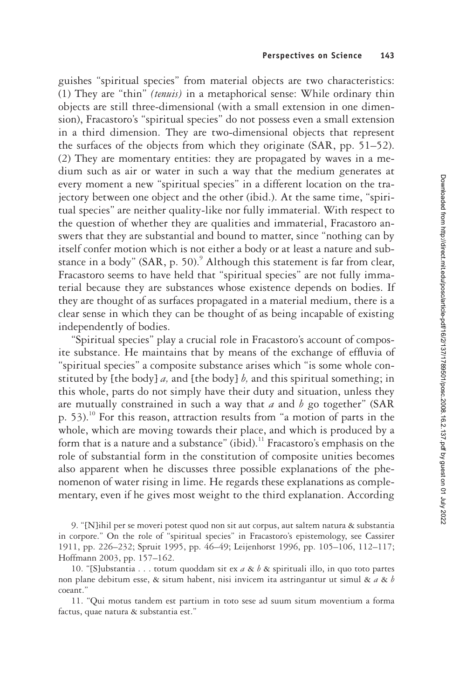guishes "spiritual species" from material objects are two characteristics: (1) They are "thin" *(tenuis)* in a metaphorical sense: While ordinary thin objects are still three-dimensional (with a small extension in one dimension), Fracastoro's "spiritual species" do not possess even a small extension in a third dimension. They are two-dimensional objects that represent the surfaces of the objects from which they originate (SAR, pp. 51–52). (2) They are momentary entities: they are propagated by waves in a medium such as air or water in such a way that the medium generates at every moment a new "spiritual species" in a different location on the trajectory between one object and the other (ibid.). At the same time, "spiritual species" are neither quality-like nor fully immaterial. With respect to the question of whether they are qualities and immaterial, Fracastoro answers that they are substantial and bound to matter, since "nothing can by itself confer motion which is not either a body or at least a nature and substance in a body" (SAR, p. 50). Although this statement is far from clear, Fracastoro seems to have held that "spiritual species" are not fully immaterial because they are substances whose existence depends on bodies. If they are thought of as surfaces propagated in a material medium, there is a clear sense in which they can be thought of as being incapable of existing independently of bodies.

"Spiritual species" play a crucial role in Fracastoro's account of composite substance. He maintains that by means of the exchange of effluvia of "spiritual species" a composite substance arises which "is some whole constituted by [the body] *a,* and [the body] *b,* and this spiritual something; in this whole, parts do not simply have their duty and situation, unless they are mutually constrained in such a way that *a* and *b* go together" (SAR p. 53).10 For this reason, attraction results from "a motion of parts in the whole, which are moving towards their place, and which is produced by a form that is a nature and a substance" (ibid).<sup>11</sup> Fracastoro's emphasis on the role of substantial form in the constitution of composite unities becomes also apparent when he discusses three possible explanations of the phenomenon of water rising in lime. He regards these explanations as complementary, even if he gives most weight to the third explanation. According

9. "[N]ihil per se moveri potest quod non sit aut corpus, aut saltem natura & substantia in corpore." On the role of "spiritual species" in Fracastoro's epistemology, see Cassirer 1911, pp. 226–232; Spruit 1995, pp. 46–49; Leijenhorst 1996, pp. 105–106, 112–117; Hoffmann 2003, pp. 157–162.

11. "Qui motus tandem est partium in toto sese ad suum situm moventium a forma factus, quae natura & substantia est."

<sup>10. &</sup>quot;[S]ubstantia . . . totum quoddam sit ex *a* & *b* & spirituali illo, in quo toto partes non plane debitum esse, & situm habent, nisi invicem ita astringantur ut simul & *a* & *b* coeant."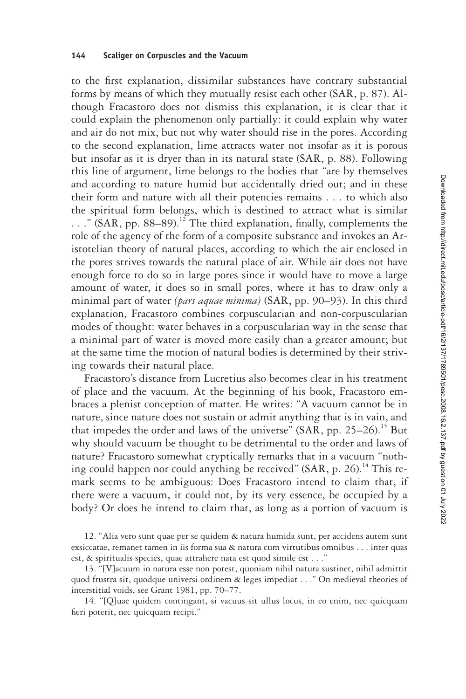#### **144 Scaliger on Corpuscles and the Vacuum**

to the first explanation, dissimilar substances have contrary substantial forms by means of which they mutually resist each other (SAR, p. 87). Although Fracastoro does not dismiss this explanation, it is clear that it could explain the phenomenon only partially: it could explain why water and air do not mix, but not why water should rise in the pores. According to the second explanation, lime attracts water not insofar as it is porous but insofar as it is dryer than in its natural state (SAR, p. 88). Following this line of argument, lime belongs to the bodies that "are by themselves and according to nature humid but accidentally dried out; and in these their form and nature with all their potencies remains . . . to which also the spiritual form belongs, which is destined to attract what is similar  $\ldots$ ." (SAR, pp. 88–89).<sup>12</sup> The third explanation, finally, complements the role of the agency of the form of a composite substance and invokes an Aristotelian theory of natural places, according to which the air enclosed in the pores strives towards the natural place of air. While air does not have enough force to do so in large pores since it would have to move a large amount of water, it does so in small pores, where it has to draw only a minimal part of water *(pars aquae minima)* (SAR, pp. 90–93). In this third explanation, Fracastoro combines corpuscularian and non-corpuscularian modes of thought: water behaves in a corpuscularian way in the sense that a minimal part of water is moved more easily than a greater amount; but at the same time the motion of natural bodies is determined by their striving towards their natural place.

Fracastoro's distance from Lucretius also becomes clear in his treatment of place and the vacuum. At the beginning of his book, Fracastoro embraces a plenist conception of matter. He writes: "A vacuum cannot be in nature, since nature does not sustain or admit anything that is in vain, and that impedes the order and laws of the universe" (SAR, pp. 25–26).<sup>13</sup> But why should vacuum be thought to be detrimental to the order and laws of nature? Fracastoro somewhat cryptically remarks that in a vacuum "nothing could happen nor could anything be received" (SAR, p. 26).<sup>14</sup> This remark seems to be ambiguous: Does Fracastoro intend to claim that, if there were a vacuum, it could not, by its very essence, be occupied by a body? Or does he intend to claim that, as long as a portion of vacuum is

12. "Alia vero sunt quae per se quidem & natura humida sunt, per accidens autem sunt exsiccatae, remanet tamen in iis forma sua & natura cum virtutibus omnibus . . . inter quas est, & spiritualis species, quae attrahere nata est quod simile est . . ."

13. "[V]acuum in natura esse non potest, quoniam nihil natura sustinet, nihil admittit quod frustra sit, quodque universi ordinem & leges impediat . . ." On medieval theories of interstitial voids, see Grant 1981, pp. 70–77.

14. "[Q]uae quidem contingant, si vacuus sit ullus locus, in eo enim, nec quicquam fieri poterit, nec quicquam recipi."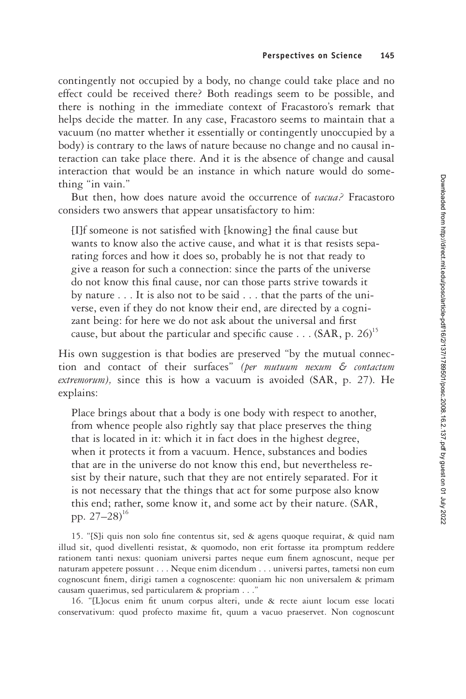contingently not occupied by a body, no change could take place and no effect could be received there? Both readings seem to be possible, and there is nothing in the immediate context of Fracastoro's remark that helps decide the matter. In any case, Fracastoro seems to maintain that a vacuum (no matter whether it essentially or contingently unoccupied by a body) is contrary to the laws of nature because no change and no causal interaction can take place there. And it is the absence of change and causal interaction that would be an instance in which nature would do something "in vain."

But then, how does nature avoid the occurrence of *vacua?* Fracastoro considers two answers that appear unsatisfactory to him:

[I]f someone is not satisfied with [knowing] the final cause but wants to know also the active cause, and what it is that resists separating forces and how it does so, probably he is not that ready to give a reason for such a connection: since the parts of the universe do not know this final cause, nor can those parts strive towards it by nature . . . It is also not to be said... that the parts of the universe, even if they do not know their end, are directed by a cognizant being: for here we do not ask about the universal and first cause, but about the particular and specific cause . . . (SAR, p. 26)<sup>15</sup>

His own suggestion is that bodies are preserved "by the mutual connection and contact of their surfaces" *(per mutuum nexum & contactum extremorum),* since this is how a vacuum is avoided (SAR, p. 27). He explains:

Place brings about that a body is one body with respect to another, from whence people also rightly say that place preserves the thing that is located in it: which it in fact does in the highest degree, when it protects it from a vacuum. Hence, substances and bodies that are in the universe do not know this end, but nevertheless resist by their nature, such that they are not entirely separated. For it is not necessary that the things that act for some purpose also know this end; rather, some know it, and some act by their nature. (SAR, pp.  $27-28$ <sup>16</sup>

15. "[S]i quis non solo fine contentus sit, sed & agens quoque requirat,  $\&$  quid nam illud sit, quod divellenti resistat, & quomodo, non erit fortasse ita promptum reddere rationem tanti nexus: quoniam universi partes neque eum finem agnoscunt, neque per naturam appetere possunt . . . Neque enim dicendum . . . universi partes, tametsi non eum cognoscunt finem, dirigi tamen a cognoscente: quoniam hic non universalem  $\&$  primam causam quaerimus, sed particularem & propriam . . ."

16. "[L]ocus enim fit unum corpus alteri, unde & recte aiunt locum esse locati conservativum: quod profecto maxime fit, quum a vacuo praeservet. Non cognoscunt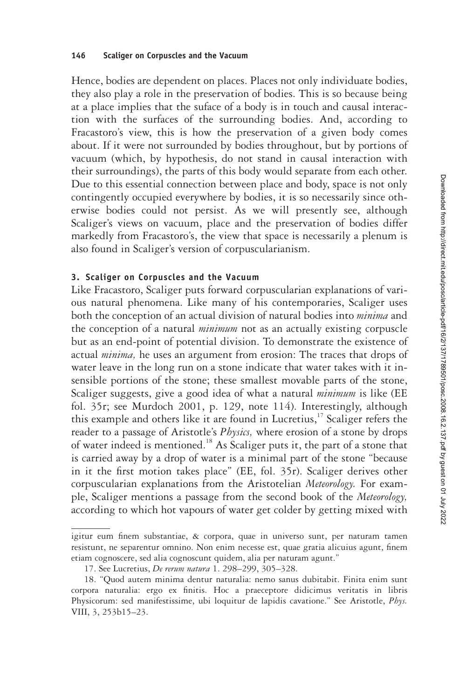Hence, bodies are dependent on places. Places not only individuate bodies, they also play a role in the preservation of bodies. This is so because being at a place implies that the suface of a body is in touch and causal interaction with the surfaces of the surrounding bodies. And, according to Fracastoro's view, this is how the preservation of a given body comes about. If it were not surrounded by bodies throughout, but by portions of vacuum (which, by hypothesis, do not stand in causal interaction with their surroundings), the parts of this body would separate from each other. Due to this essential connection between place and body, space is not only contingently occupied everywhere by bodies, it is so necessarily since otherwise bodies could not persist. As we will presently see, although Scaliger's views on vacuum, place and the preservation of bodies differ markedly from Fracastoro's, the view that space is necessarily a plenum is also found in Scaliger's version of corpuscularianism.

# **3. Scaliger on Corpuscles and the Vacuum**

Like Fracastoro, Scaliger puts forward corpuscularian explanations of various natural phenomena. Like many of his contemporaries, Scaliger uses both the conception of an actual division of natural bodies into *minima* and the conception of a natural *minimum* not as an actually existing corpuscle but as an end-point of potential division. To demonstrate the existence of actual *minima,* he uses an argument from erosion: The traces that drops of water leave in the long run on a stone indicate that water takes with it insensible portions of the stone; these smallest movable parts of the stone, Scaliger suggests, give a good idea of what a natural *minimum* is like (EE fol. 35r; see Murdoch 2001, p. 129, note 114). Interestingly, although this example and others like it are found in Lucretius,<sup>17</sup> Scaliger refers the reader to a passage of Aristotle's *Physics,* where erosion of a stone by drops of water indeed is mentioned.<sup>18</sup> As Scaliger puts it, the part of a stone that is carried away by a drop of water is a minimal part of the stone "because in it the first motion takes place" (EE, fol. 35r). Scaliger derives other corpuscularian explanations from the Aristotelian *Meteorology.* For example, Scaliger mentions a passage from the second book of the *Meteorology,* according to which hot vapours of water get colder by getting mixed with

igitur eum finem substantiae, & corpora, quae in universo sunt, per naturam tamen resistunt, ne separentur omnino. Non enim necesse est, quae gratia alicuius agunt, finem etiam cognoscere, sed alia cognoscunt quidem, alia per naturam agunt."

<sup>17.</sup> See Lucretius, *De rerum natura* 1. 298–299, 305–328.

<sup>18. &</sup>quot;Quod autem minima dentur naturalia: nemo sanus dubitabit. Finita enim sunt corpora naturalia: ergo ex finitis. Hoc a praeceptore didicimus veritatis in libris Physicorum: sed manifestissime, ubi loquitur de lapidis cavatione." See Aristotle, *Phys.* VIII, 3, 253b15–23.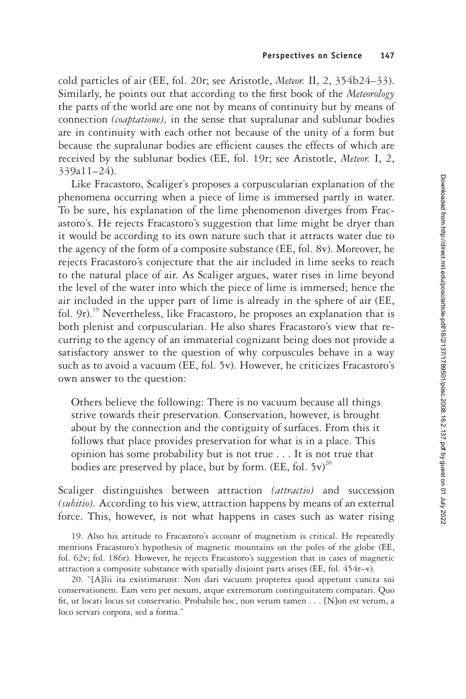cold particles of air (EE, fol. 20r; see Aristotle, *Meteor.* II, 2, 354b24–33). Similarly, he points out that according to the first book of the *Meteorology* the parts of the world are one not by means of continuity but by means of connection *(coaptatione),* in the sense that supralunar and sublunar bodies are in continuity with each other not because of the unity of a form but because the supralunar bodies are efficient causes the effects of which are received by the sublunar bodies (EE, fol. 19r; see Aristotle, *Meteor.* I, 2, 339a11–24).

Like Fracastoro, Scaliger's proposes a corpuscularian explanation of the phenomena occurring when a piece of lime is immersed partly in water. To be sure, his explanation of the lime phenomenon diverges from Fracastoro's. He rejects Fracastoro's suggestion that lime might be dryer than it would be according to its own nature such that it attracts water due to the agency of the form of a composite substance (EE, fol. 8v). Moreover, he rejects Fracastoro's conjecture that the air included in lime seeks to reach to the natural place of air. As Scaliger argues, water rises in lime beyond the level of the water into which the piece of lime is immersed; hence the air included in the upper part of lime is already in the sphere of air (EE, fol. 9r).<sup>19</sup> Nevertheless, like Fracastoro, he proposes an explanation that is both plenist and corpuscularian. He also shares Fracastoro's view that recurring to the agency of an immaterial cognizant being does not provide a satisfactory answer to the question of why corpuscules behave in a way such as to avoid a vacuum (EE, fol. 5v). However, he criticizes Fracastoro's own answer to the question:

Others believe the following: There is no vacuum because all things strive towards their preservation. Conservation, however, is brought about by the connection and the contiguity of surfaces. From this it follows that place provides preservation for what is in a place. This opinion has some probability but is not true . . . It is not true that bodies are preserved by place, but by form. (EE, fol.  $5v^{20}$ )

Scaliger distinguishes between attraction *(attractio)* and succession *(subitio).* According to his view, attraction happens by means of an external force. This, however, is not what happens in cases such as water rising

19. Also his attitude to Fracastoro's account of magnetism is critical. He repeatedly mentions Fracastoro's hypothesis of magnetic mountains on the poles of the globe (EE, fol. 62v; fol. 186r). However, he rejects Fracastoro's suggestion that in cases of magnetic attraction a composite substance with spatially disjoint parts arises (EE, fol. 454r–v).

20. "[A]lii ita existimarunt: Non dari vacuum propterea quod appetunt cuncta sui conservationem. Eam vero per nexum, atque extremorum continguitatem comparari. Quo fit, ut locati locus sit conservatio. Probabile hoc, non verum tamen . . . [N]on est verum, a loco servari corpora, sed a forma."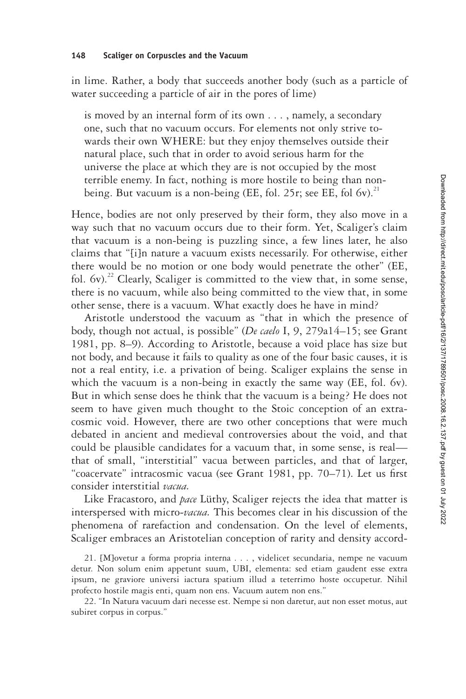in lime. Rather, a body that succeeds another body (such as a particle of water succeeding a particle of air in the pores of lime)

is moved by an internal form of its own..., namely, a secondary one, such that no vacuum occurs. For elements not only strive towards their own WHERE: but they enjoy themselves outside their natural place, such that in order to avoid serious harm for the universe the place at which they are is not occupied by the most terrible enemy. In fact, nothing is more hostile to being than nonbeing. But vacuum is a non-being (EE, fol. 25r; see EE, fol 6v).<sup>21</sup>

Hence, bodies are not only preserved by their form, they also move in a way such that no vacuum occurs due to their form. Yet, Scaliger's claim that vacuum is a non-being is puzzling since, a few lines later, he also claims that "[i]n nature a vacuum exists necessarily. For otherwise, either there would be no motion or one body would penetrate the other" (EE, fol. 6v).<sup>22</sup> Clearly, Scaliger is committed to the view that, in some sense, there is no vacuum, while also being committed to the view that, in some other sense, there is a vacuum. What exactly does he have in mind?

Aristotle understood the vacuum as "that in which the presence of body, though not actual, is possible" (*De caelo* I, 9, 279a14–15; see Grant 1981, pp. 8–9). According to Aristotle, because a void place has size but not body, and because it fails to quality as one of the four basic causes, it is not a real entity, i.e. a privation of being. Scaliger explains the sense in which the vacuum is a non-being in exactly the same way (EE, fol. 6v). But in which sense does he think that the vacuum is a being? He does not seem to have given much thought to the Stoic conception of an extracosmic void. However, there are two other conceptions that were much debated in ancient and medieval controversies about the void, and that could be plausible candidates for a vacuum that, in some sense, is real that of small, "interstitial" vacua between particles, and that of larger, "coacervate" intracosmic vacua (see Grant 1981, pp. 70–71). Let us first consider interstitial *vacua.*

Like Fracastoro, and *pace* Lüthy, Scaliger rejects the idea that matter is interspersed with micro-*vacua.* This becomes clear in his discussion of the phenomena of rarefaction and condensation. On the level of elements, Scaliger embraces an Aristotelian conception of rarity and density accord-

21. [M]ovetur a forma propria interna ..., videlicet secundaria, nempe ne vacuum detur. Non solum enim appetunt suum, UBI, elementa: sed etiam gaudent esse extra ipsum, ne graviore universi iactura spatium illud a teterrimo hoste occupetur. Nihil profecto hostile magis enti, quam non ens. Vacuum autem non ens."

22. "In Natura vacuum dari necesse est. Nempe si non daretur, aut non esset motus, aut subiret corpus in corpus."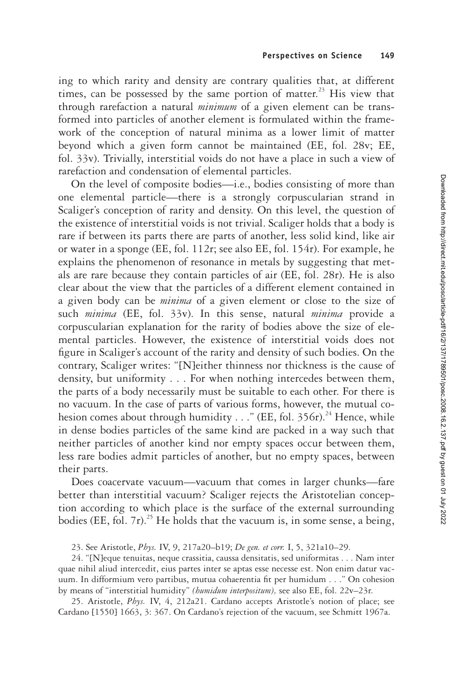ing to which rarity and density are contrary qualities that, at different times, can be possessed by the same portion of matter.<sup>23</sup> His view that through rarefaction a natural *minimum* of a given element can be transformed into particles of another element is formulated within the framework of the conception of natural minima as a lower limit of matter beyond which a given form cannot be maintained (EE, fol. 28v; EE, fol. 33v). Trivially, interstitial voids do not have a place in such a view of rarefaction and condensation of elemental particles.

On the level of composite bodies—i.e., bodies consisting of more than one elemental particle—there is a strongly corpuscularian strand in Scaliger's conception of rarity and density. On this level, the question of the existence of interstitial voids is not trivial. Scaliger holds that a body is rare if between its parts there are parts of another, less solid kind, like air or water in a sponge (EE, fol. 112r; see also EE, fol. 154r). For example, he explains the phenomenon of resonance in metals by suggesting that metals are rare because they contain particles of air (EE, fol. 28r). He is also clear about the view that the particles of a different element contained in a given body can be *minima* of a given element or close to the size of such *minima* (EE, fol. 33v). In this sense, natural *minima* provide a corpuscularian explanation for the rarity of bodies above the size of elemental particles. However, the existence of interstitial voids does not figure in Scaliger's account of the rarity and density of such bodies. On the contrary, Scaliger writes: "[N]either thinness nor thickness is the cause of density, but uniformity . . . For when nothing intercedes between them, the parts of a body necessarily must be suitable to each other. For there is no vacuum. In the case of parts of various forms, however, the mutual cohesion comes about through humidity . . ." (EE, fol. 356r).<sup>24</sup> Hence, while in dense bodies particles of the same kind are packed in a way such that neither particles of another kind nor empty spaces occur between them, less rare bodies admit particles of another, but no empty spaces, between their parts.

Does coacervate vacuum—vacuum that comes in larger chunks—fare better than interstitial vacuum? Scaliger rejects the Aristotelian conception according to which place is the surface of the external surrounding bodies (EE, fol. 7r).<sup>25</sup> He holds that the vacuum is, in some sense, a being,

23. See Aristotle, *Phys.* IV, 9, 217a20–b19; *De gen. et corr.* I, 5, 321a10–29.

24. "[N]eque tenuitas, neque crassitia, caussa densitatis, sed uniformitas . . . Nam inter quae nihil aliud intercedit, eius partes inter se aptas esse necesse est. Non enim datur vacuum. In difformium vero partibus, mutua cohaerentia ªt per humidum . . ." On cohesion by means of "interstitial humidity" *(humidum interpositum),* see also EE, fol. 22v–23r.

25. Aristotle, *Phys.* IV, 4, 212a21. Cardano accepts Aristotle's notion of place; see Cardano [1550] 1663, 3: 367. On Cardano's rejection of the vacuum, see Schmitt 1967a.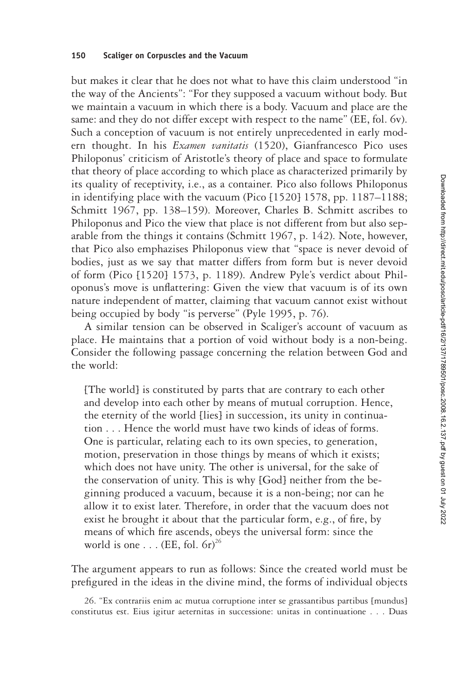but makes it clear that he does not what to have this claim understood "in the way of the Ancients": "For they supposed a vacuum without body. But we maintain a vacuum in which there is a body. Vacuum and place are the same: and they do not differ except with respect to the name" (EE, fol. 6v). Such a conception of vacuum is not entirely unprecedented in early modern thought. In his *Examen vanitatis* (1520), Gianfrancesco Pico uses Philoponus' criticism of Aristotle's theory of place and space to formulate that theory of place according to which place as characterized primarily by its quality of receptivity, i.e., as a container. Pico also follows Philoponus in identifying place with the vacuum (Pico [1520] 1578, pp. 1187–1188; Schmitt 1967, pp. 138–159). Moreover, Charles B. Schmitt ascribes to Philoponus and Pico the view that place is not different from but also separable from the things it contains (Schmitt 1967, p. 142). Note, however, that Pico also emphazises Philoponus view that "space is never devoid of bodies, just as we say that matter differs from form but is never devoid of form (Pico [1520] 1573, p. 1189). Andrew Pyle's verdict about Philoponus's move is unflattering: Given the view that vacuum is of its own nature independent of matter, claiming that vacuum cannot exist without being occupied by body "is perverse" (Pyle 1995, p. 76).

A similar tension can be observed in Scaliger's account of vacuum as place. He maintains that a portion of void without body is a non-being. Consider the following passage concerning the relation between God and the world:

[The world] is constituted by parts that are contrary to each other and develop into each other by means of mutual corruption. Hence, the eternity of the world [lies] in succession, its unity in continuation . . . Hence the world must have two kinds of ideas of forms. One is particular, relating each to its own species, to generation, motion, preservation in those things by means of which it exists; which does not have unity. The other is universal, for the sake of the conservation of unity. This is why [God] neither from the beginning produced a vacuum, because it is a non-being; nor can he allow it to exist later. Therefore, in order that the vacuum does not exist he brought it about that the particular form, e.g., of fire, by means of which fire ascends, obeys the universal form: since the world is one ... (EE, fol. 6r)<sup>26</sup>

The argument appears to run as follows: Since the created world must be prefigured in the ideas in the divine mind, the forms of individual objects

26. "Ex contrariis enim ac mutua corruptione inter se grassantibus partibus [mundus] constitutus est. Eius igitur aeternitas in successione: unitas in continuatione . . . Duas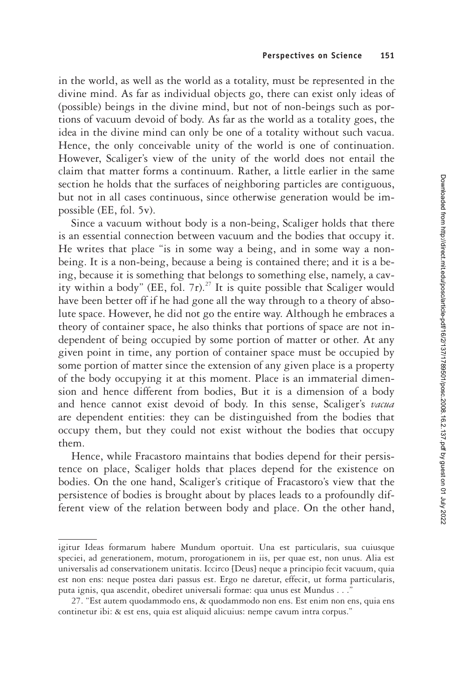in the world, as well as the world as a totality, must be represented in the divine mind. As far as individual objects go, there can exist only ideas of (possible) beings in the divine mind, but not of non-beings such as portions of vacuum devoid of body. As far as the world as a totality goes, the idea in the divine mind can only be one of a totality without such vacua. Hence, the only conceivable unity of the world is one of continuation. However, Scaliger's view of the unity of the world does not entail the claim that matter forms a continuum. Rather, a little earlier in the same section he holds that the surfaces of neighboring particles are contiguous, but not in all cases continuous, since otherwise generation would be impossible (EE, fol. 5v).

Since a vacuum without body is a non-being, Scaliger holds that there is an essential connection between vacuum and the bodies that occupy it. He writes that place "is in some way a being, and in some way a nonbeing. It is a non-being, because a being is contained there; and it is a being, because it is something that belongs to something else, namely, a cavity within a body" (EE, fol. 7r).<sup>27</sup> It is quite possible that Scaliger would have been better off if he had gone all the way through to a theory of absolute space. However, he did not go the entire way. Although he embraces a theory of container space, he also thinks that portions of space are not independent of being occupied by some portion of matter or other. At any given point in time, any portion of container space must be occupied by some portion of matter since the extension of any given place is a property of the body occupying it at this moment. Place is an immaterial dimension and hence different from bodies, But it is a dimension of a body and hence cannot exist devoid of body. In this sense, Scaliger's *vacua* are dependent entities: they can be distinguished from the bodies that occupy them, but they could not exist without the bodies that occupy them.

Hence, while Fracastoro maintains that bodies depend for their persistence on place, Scaliger holds that places depend for the existence on bodies. On the one hand, Scaliger's critique of Fracastoro's view that the persistence of bodies is brought about by places leads to a profoundly different view of the relation between body and place. On the other hand,

igitur Ideas formarum habere Mundum oportuit. Una est particularis, sua cuiusque speciei, ad generationem, motum, prorogationem in iis, per quae est, non unus. Alia est universalis ad conservationem unitatis. Iccirco [Deus] neque a principio fecit vacuum, quia est non ens: neque postea dari passus est. Ergo ne daretur, effecit, ut forma particularis, puta ignis, qua ascendit, obediret universali formae: qua unus est Mundus . . .'

<sup>27. &</sup>quot;Est autem quodammodo ens, & quodammodo non ens. Est enim non ens, quia ens continetur ibi: & est ens, quia est aliquid alicuius: nempe cavum intra corpus."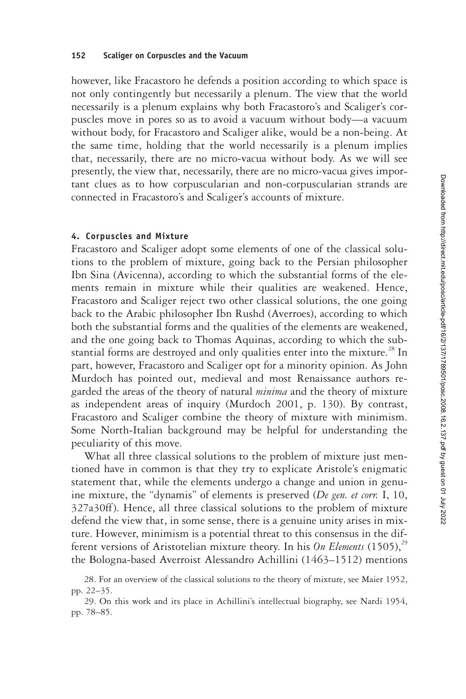#### **152 Scaliger on Corpuscles and the Vacuum**

however, like Fracastoro he defends a position according to which space is not only contingently but necessarily a plenum. The view that the world necessarily is a plenum explains why both Fracastoro's and Scaliger's corpuscles move in pores so as to avoid a vacuum without body—a vacuum without body, for Fracastoro and Scaliger alike, would be a non-being. At the same time, holding that the world necessarily is a plenum implies that, necessarily, there are no micro-vacua without body. As we will see presently, the view that, necessarily, there are no micro-vacua gives important clues as to how corpuscularian and non-corpuscularian strands are connected in Fracastoro's and Scaliger's accounts of mixture.

#### **4. Corpuscles and Mixture**

Fracastoro and Scaliger adopt some elements of one of the classical solutions to the problem of mixture, going back to the Persian philosopher Ibn Sina (Avicenna), according to which the substantial forms of the elements remain in mixture while their qualities are weakened. Hence, Fracastoro and Scaliger reject two other classical solutions, the one going back to the Arabic philosopher Ibn Rushd (Averroes), according to which both the substantial forms and the qualities of the elements are weakened, and the one going back to Thomas Aquinas, according to which the substantial forms are destroyed and only qualities enter into the mixture.<sup>28</sup> In part, however, Fracastoro and Scaliger opt for a minority opinion. As John Murdoch has pointed out, medieval and most Renaissance authors regarded the areas of the theory of natural *minima* and the theory of mixture as independent areas of inquiry (Murdoch 2001, p. 130). By contrast, Fracastoro and Scaliger combine the theory of mixture with minimism. Some North-Italian background may be helpful for understanding the peculiarity of this move.

What all three classical solutions to the problem of mixture just mentioned have in common is that they try to explicate Aristole's enigmatic statement that, while the elements undergo a change and union in genuine mixture, the "dynamis" of elements is preserved (*De gen. et corr.* I, 10, 327a30ff). Hence, all three classical solutions to the problem of mixture defend the view that, in some sense, there is a genuine unity arises in mixture. However, minimism is a potential threat to this consensus in the different versions of Aristotelian mixture theory. In his *On Elements* (1505),<sup>29</sup> the Bologna-based Averroist Alessandro Achillini (1463–1512) mentions

<sup>28.</sup> For an overview of the classical solutions to the theory of mixture, see Maier 1952, pp. 22–35.

<sup>29.</sup> On this work and its place in Achillini's intellectual biography, see Nardi 1954, pp. 78–85.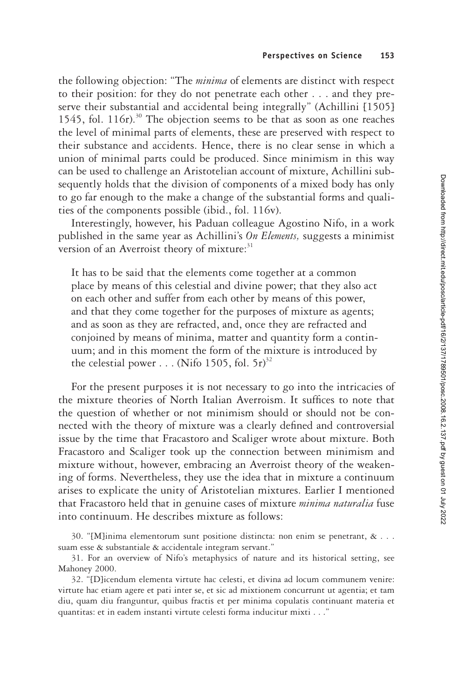the following objection: "The *minima* of elements are distinct with respect to their position: for they do not penetrate each other . . . and they preserve their substantial and accidental being integrally" (Achillini [1505] 1545, fol. 116r).<sup>30</sup> The objection seems to be that as soon as one reaches the level of minimal parts of elements, these are preserved with respect to their substance and accidents. Hence, there is no clear sense in which a union of minimal parts could be produced. Since minimism in this way can be used to challenge an Aristotelian account of mixture, Achillini subsequently holds that the division of components of a mixed body has only to go far enough to the make a change of the substantial forms and qualities of the components possible (ibid., fol. 116v).

Interestingly, however, his Paduan colleague Agostino Nifo, in a work published in the same year as Achillini's *On Elements,* suggests a minimist version of an Averroist theory of mixture: $31$ 

It has to be said that the elements come together at a common place by means of this celestial and divine power; that they also act on each other and suffer from each other by means of this power, and that they come together for the purposes of mixture as agents; and as soon as they are refracted, and, once they are refracted and conjoined by means of minima, matter and quantity form a continuum; and in this moment the form of the mixture is introduced by the celestial power... (Nifo 1505, fol. 5r)<sup>32</sup>

For the present purposes it is not necessary to go into the intricacies of the mixture theories of North Italian Averroism. It suffices to note that the question of whether or not minimism should or should not be connected with the theory of mixture was a clearly defined and controversial issue by the time that Fracastoro and Scaliger wrote about mixture. Both Fracastoro and Scaliger took up the connection between minimism and mixture without, however, embracing an Averroist theory of the weakening of forms. Nevertheless, they use the idea that in mixture a continuum arises to explicate the unity of Aristotelian mixtures. Earlier I mentioned that Fracastoro held that in genuine cases of mixture *minima naturalia* fuse into continuum. He describes mixture as follows:

30. "[M]inima elementorum sunt positione distincta: non enim se penetrant, &... suam esse & substantiale & accidentale integram servant."

31. For an overview of Nifo's metaphysics of nature and its historical setting, see Mahoney 2000.

32. "[D]icendum elementa virtute hac celesti, et divina ad locum communem venire: virtute hac etiam agere et pati inter se, et sic ad mixtionem concurrunt ut agentia; et tam diu, quam diu franguntur, quibus fractis et per minima copulatis continuant materia et quantitas: et in eadem instanti virtute celesti forma inducitur mixti . . ."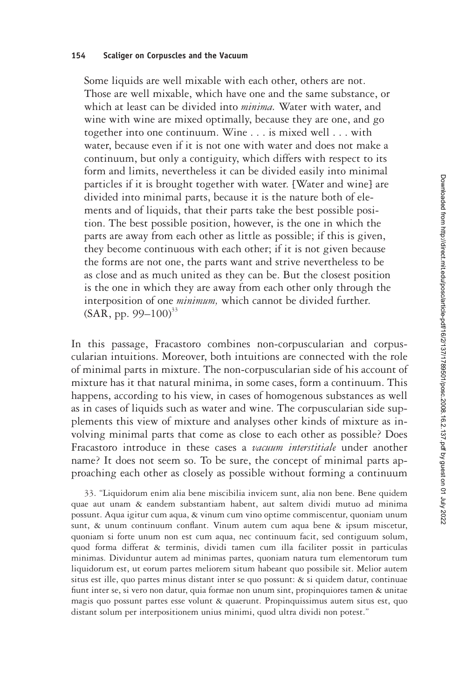#### **154 Scaliger on Corpuscles and the Vacuum**

Some liquids are well mixable with each other, others are not. Those are well mixable, which have one and the same substance, or which at least can be divided into *minima.* Water with water, and wine with wine are mixed optimally, because they are one, and go together into one continuum. Wine . . . is mixed well... with water, because even if it is not one with water and does not make a continuum, but only a contiguity, which differs with respect to its form and limits, nevertheless it can be divided easily into minimal particles if it is brought together with water. [Water and wine] are divided into minimal parts, because it is the nature both of elements and of liquids, that their parts take the best possible position. The best possible position, however, is the one in which the parts are away from each other as little as possible; if this is given, they become continuous with each other; if it is not given because the forms are not one, the parts want and strive nevertheless to be as close and as much united as they can be. But the closest position is the one in which they are away from each other only through the interposition of one *minimum,* which cannot be divided further.  $(SAR, pp. 99-100)^{33}$ 

In this passage, Fracastoro combines non-corpuscularian and corpuscularian intuitions. Moreover, both intuitions are connected with the role of minimal parts in mixture. The non-corpuscularian side of his account of mixture has it that natural minima, in some cases, form a continuum. This happens, according to his view, in cases of homogenous substances as well as in cases of liquids such as water and wine. The corpuscularian side supplements this view of mixture and analyses other kinds of mixture as involving minimal parts that come as close to each other as possible? Does Fracastoro introduce in these cases a *vacuum interstitiale* under another name? It does not seem so. To be sure, the concept of minimal parts approaching each other as closely as possible without forming a continuum

33. "Liquidorum enim alia bene miscibilia invicem sunt, alia non bene. Bene quidem quae aut unam & eandem substantiam habent, aut saltem dividi mutuo ad minima possunt. Aqua igitur cum aqua, & vinum cum vino optime commiscentur, quoniam unum sunt, & unum continuum conflant. Vinum autem cum aqua bene & ipsum miscetur, quoniam si forte unum non est cum aqua, nec continuum facit, sed contiguum solum, quod forma differat & terminis, dividi tamen cum illa faciliter possit in particulas minimas. Dividuntur autem ad minimas partes, quoniam natura tum elementorum tum liquidorum est, ut eorum partes meliorem situm habeant quo possibile sit. Melior autem situs est ille, quo partes minus distant inter se quo possunt: & si quidem datur, continuae fiunt inter se, si vero non datur, quia formae non unum sint, propinquiores tamen & unitae magis quo possunt partes esse volunt & quaerunt. Propinquissimus autem situs est, quo distant solum per interpositionem unius minimi, quod ultra dividi non potest."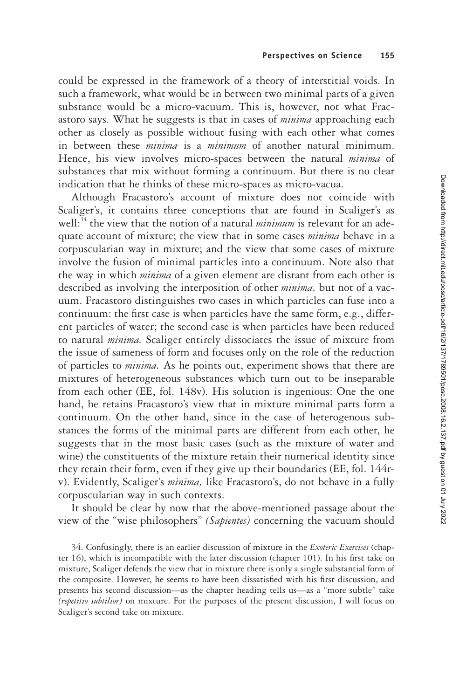could be expressed in the framework of a theory of interstitial voids. In such a framework, what would be in between two minimal parts of a given substance would be a micro-vacuum. This is, however, not what Fracastoro says. What he suggests is that in cases of *minima* approaching each other as closely as possible without fusing with each other what comes in between these *minima* is a *minimum* of another natural minimum. Hence, his view involves micro-spaces between the natural *minima* of substances that mix without forming a continuum. But there is no clear indication that he thinks of these micro-spaces as micro-vacua.

Although Fracastoro's account of mixture does not coincide with Scaliger's, it contains three conceptions that are found in Scaliger's as well:<sup>34</sup> the view that the notion of a natural *minimum* is relevant for an adequate account of mixture; the view that in some cases *minima* behave in a corpuscularian way in mixture; and the view that some cases of mixture involve the fusion of minimal particles into a continuum. Note also that the way in which *minima* of a given element are distant from each other is described as involving the interposition of other *minima,* but not of a vacuum. Fracastoro distinguishes two cases in which particles can fuse into a continuum: the first case is when particles have the same form, e.g., different particles of water; the second case is when particles have been reduced to natural *minima.* Scaliger entirely dissociates the issue of mixture from the issue of sameness of form and focuses only on the role of the reduction of particles to *minima.* As he points out, experiment shows that there are mixtures of heterogeneous substances which turn out to be inseparable from each other (EE, fol. 148v). His solution is ingenious: One the one hand, he retains Fracastoro's view that in mixture minimal parts form a continuum. On the other hand, since in the case of heterogenous substances the forms of the minimal parts are different from each other, he suggests that in the most basic cases (such as the mixture of water and wine) the constituents of the mixture retain their numerical identity since they retain their form, even if they give up their boundaries (EE, fol. 144rv). Evidently, Scaliger's *minima,* like Fracastoro's, do not behave in a fully corpuscularian way in such contexts.

It should be clear by now that the above-mentioned passage about the view of the "wise philosophers" *(Sapientes)* concerning the vacuum should

34. Confusingly, there is an earlier discussion of mixture in the *Exoteric Exercises* (chapter  $16$ ), which is incompatible with the later discussion (chapter  $101$ ). In his first take on mixture, Scaliger defends the view that in mixture there is only a single substantial form of the composite. However, he seems to have been dissatisfied with his first discussion, and presents his second discussion—as the chapter heading tells us—as a "more subtle" take *(repetitio subtilior)* on mixture. For the purposes of the present discussion, I will focus on Scaliger's second take on mixture.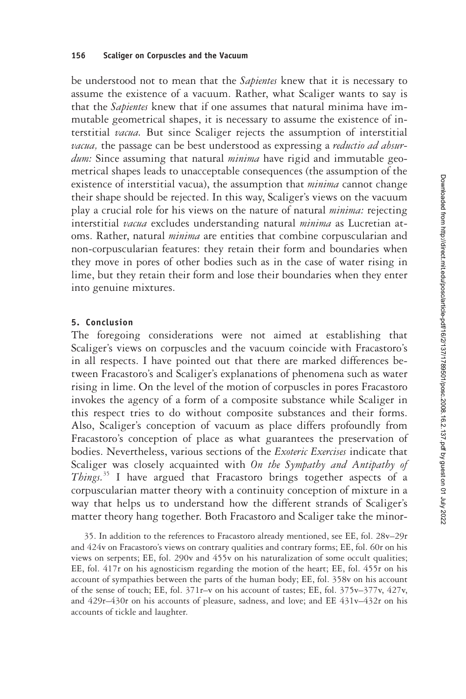be understood not to mean that the *Sapientes* knew that it is necessary to assume the existence of a vacuum. Rather, what Scaliger wants to say is that the *Sapientes* knew that if one assumes that natural minima have immutable geometrical shapes, it is necessary to assume the existence of interstitial *vacua.* But since Scaliger rejects the assumption of interstitial *vacua,* the passage can be best understood as expressing a *reductio ad absurdum:* Since assuming that natural *minima* have rigid and immutable geometrical shapes leads to unacceptable consequences (the assumption of the existence of interstitial vacua), the assumption that *minima* cannot change their shape should be rejected. In this way, Scaliger's views on the vacuum play a crucial role for his views on the nature of natural *minima:* rejecting interstitial *vacua* excludes understanding natural *minima* as Lucretian atoms. Rather, natural *minima* are entities that combine corpuscularian and non-corpuscularian features: they retain their form and boundaries when they move in pores of other bodies such as in the case of water rising in lime, but they retain their form and lose their boundaries when they enter into genuine mixtures.

## **5. Conclusion**

The foregoing considerations were not aimed at establishing that Scaliger's views on corpuscles and the vacuum coincide with Fracastoro's in all respects. I have pointed out that there are marked differences between Fracastoro's and Scaliger's explanations of phenomena such as water rising in lime. On the level of the motion of corpuscles in pores Fracastoro invokes the agency of a form of a composite substance while Scaliger in this respect tries to do without composite substances and their forms. Also, Scaliger's conception of vacuum as place differs profoundly from Fracastoro's conception of place as what guarantees the preservation of bodies. Nevertheless, various sections of the *Exoteric Exercises* indicate that Scaliger was closely acquainted with *On the Sympathy and Antipathy of Things.*<sup>35</sup> I have argued that Fracastoro brings together aspects of a corpuscularian matter theory with a continuity conception of mixture in a way that helps us to understand how the different strands of Scaliger's matter theory hang together. Both Fracastoro and Scaliger take the minor-

35. In addition to the references to Fracastoro already mentioned, see EE, fol. 28v–29r and 424v on Fracastoro's views on contrary qualities and contrary forms; EE, fol. 60r on his views on serpents; EE, fol. 290v and 455v on his naturalization of some occult qualities; EE, fol. 417r on his agnosticism regarding the motion of the heart; EE, fol. 455r on his account of sympathies between the parts of the human body; EE, fol. 358v on his account of the sense of touch; EE, fol. 371r–v on his account of tastes; EE, fol. 375v–377v, 427v, and 429r–430r on his accounts of pleasure, sadness, and love; and EE 431v–432r on his accounts of tickle and laughter.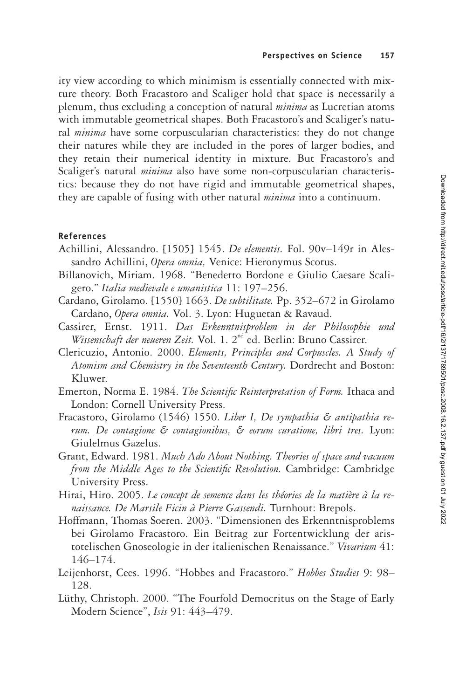ity view according to which minimism is essentially connected with mixture theory. Both Fracastoro and Scaliger hold that space is necessarily a plenum, thus excluding a conception of natural *minima* as Lucretian atoms with immutable geometrical shapes. Both Fracastoro's and Scaliger's natural *minima* have some corpuscularian characteristics: they do not change their natures while they are included in the pores of larger bodies, and they retain their numerical identity in mixture. But Fracastoro's and Scaliger's natural *minima* also have some non-corpuscularian characteristics: because they do not have rigid and immutable geometrical shapes, they are capable of fusing with other natural *minima* into a continuum.

## **References**

- Achillini, Alessandro. [1505] 1545. *De elementis.* Fol. 90v–149r in Alessandro Achillini, *Opera omnia,* Venice: Hieronymus Scotus.
- Billanovich, Miriam. 1968. "Benedetto Bordone e Giulio Caesare Scaligero." *Italia medievale e umanistica* 11: 197–256.
- Cardano, Girolamo. [1550] 1663. *De subtilitate.* Pp. 352–672 in Girolamo Cardano, *Opera omnia.* Vol. 3. Lyon: Huguetan & Ravaud.
- Cassirer, Ernst. 1911. *Das Erkenntnisproblem in der Philosophie und Wissenschaft der neueren Zeit.* Vol. 1. 2<sup>nd</sup> ed. Berlin: Bruno Cassirer.
- Clericuzio, Antonio. 2000. *Elements, Principles and Corpuscles. A Study of Atomism and Chemistry in the Seventeenth Century.* Dordrecht and Boston: Kluwer.
- Emerton, Norma E. 1984. *The Scientific Reinterpretation of Form.* Ithaca and London: Cornell University Press.
- Fracastoro, Girolamo (1546) 1550. *Liber I, De sympathia & antipathia rerum. De contagione & contagionibus, & eorum curatione, libri tres.* Lyon: Giulelmus Gazelus.
- Grant, Edward. 1981. *Much Ado About Nothing. Theories of space and vacuum from the Middle Ages to the Scientific Revolution.* Cambridge: Cambridge University Press.
- Hirai, Hiro. 2005. *Le concept de semence dans les théories de la matière à la renaissance. De Marsile Ficin à Pierre Gassendi.* Turnhout: Brepols.
- Hoffmann, Thomas Soeren. 2003. "Dimensionen des Erkenntnisproblems bei Girolamo Fracastoro. Ein Beitrag zur Fortentwicklung der aristotelischen Gnoseologie in der italienischen Renaissance." *Vivarium* 41: 146–174.
- Leijenhorst, Cees. 1996. "Hobbes and Fracastoro." *Hobbes Studies* 9: 98– 128.
- Lüthy, Christoph. 2000. "The Fourfold Democritus on the Stage of Early Modern Science", *Isis* 91: 443–479.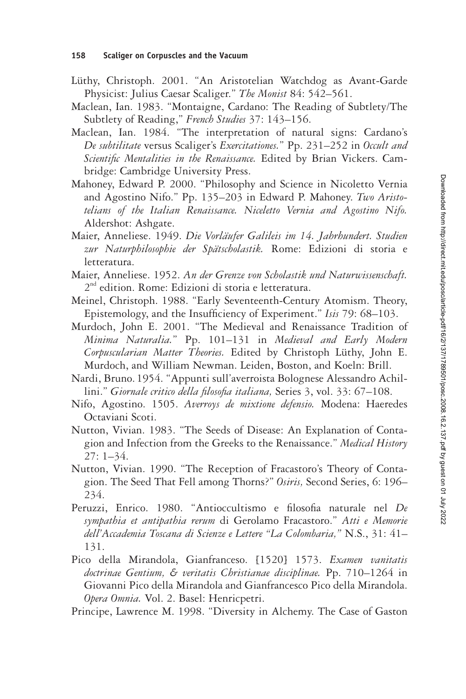- Lüthy, Christoph. 2001. "An Aristotelian Watchdog as Avant-Garde Physicist: Julius Caesar Scaliger." *The Monist* 84: 542–561.
- Maclean, Ian. 1983. "Montaigne, Cardano: The Reading of Subtlety/The Subtlety of Reading," *French Studies* 37: 143–156.
- Maclean, Ian. 1984. "The interpretation of natural signs: Cardano's *De subtilitate* versus Scaliger's *Exercitationes.*" Pp. 231–252 in *Occult and* Scientific Mentalities in the Renaissance. Edited by Brian Vickers. Cambridge: Cambridge University Press.
- Mahoney, Edward P. 2000. "Philosophy and Science in Nicoletto Vernia and Agostino Nifo." Pp. 135–203 in Edward P. Mahoney. *Two Aristotelians of the Italian Renaissance. Niceletto Vernia and Agostino Nifo.* Aldershot: Ashgate.
- Maier, Anneliese. 1949. *Die Vorläufer Galileis im 14. Jahrhundert. Studien zur Naturphilosophie der Spätscholastik.* Rome: Edizioni di storia e letteratura.
- Maier, Anneliese. 1952. *An der Grenze von Scholastik und Naturwissenschaft.*  $2<sup>nd</sup>$  edition. Rome: Edizioni di storia e letteratura.
- Meinel, Christoph. 1988. "Early Seventeenth-Century Atomism. Theory, Epistemology, and the Insufficiency of Experiment." *Isis* 79: 68–103.
- Murdoch, John E. 2001. "The Medieval and Renaissance Tradition of *Minima Naturalia.*" Pp. 101–131 in *Medieval and Early Modern Corpuscularian Matter Theories.* Edited by Christoph Lüthy, John E. Murdoch, and William Newman. Leiden, Boston, and Koeln: Brill.
- Nardi, Bruno. 1954. "Appunti sull'averroista Bolognese Alessandro Achillini." *Giornale critico della filosofia italiana*, Series 3, vol. 33: 67–108.
- Nifo, Agostino. 1505. *Averroys de mixtione defensio.* Modena: Haeredes Octaviani Scoti.
- Nutton, Vivian. 1983. "The Seeds of Disease: An Explanation of Contagion and Infection from the Greeks to the Renaissance." *Medical History* 27: 1–34.
- Nutton, Vivian. 1990. "The Reception of Fracastoro's Theory of Contagion. The Seed That Fell among Thorns?" *Osiris,* Second Series, 6: 196– 234.
- Peruzzi, Enrico. 1980. "Antioccultismo e filosofia naturale nel *De sympathia et antipathia rerum* di Gerolamo Fracastoro." *Atti e Memorie dell'Accademia Toscana di Scienze e Lettere "La Colombaria,"* N.S., 31: 41– 131.
- Pico della Mirandola, Gianfranceso. [1520] 1573. *Examen vanitatis doctrinae Gentium, & veritatis Christianae disciplinae.* Pp. 710–1264 in Giovanni Pico della Mirandola and Gianfrancesco Pico della Mirandola. *Opera Omnia.* Vol. 2. Basel: Henricpetri.
- Principe, Lawrence M. 1998. "Diversity in Alchemy. The Case of Gaston